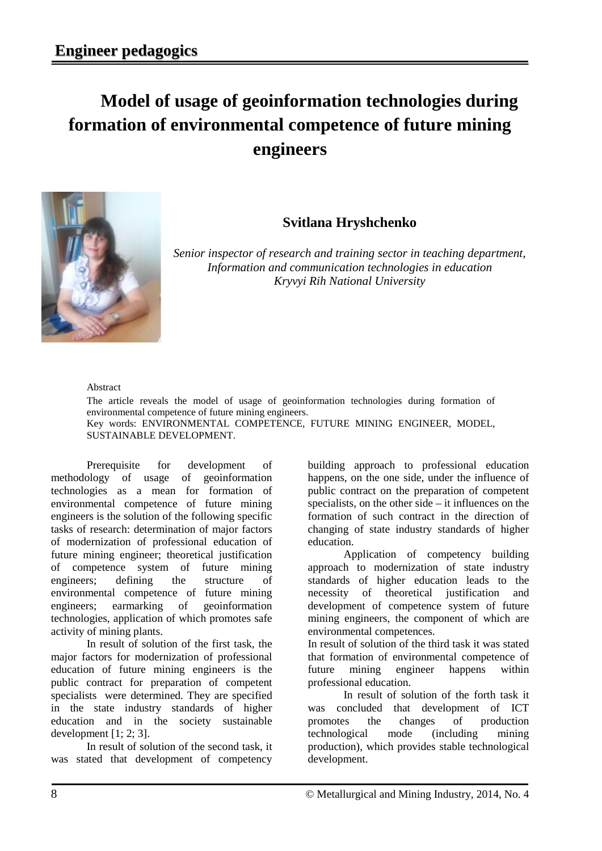## **Model of usage of geoinformation technologies during formation of environmental competence of future mining engineers**



## **Svitlana Hryshchenko**

*Senior inspector of research and training sector in teaching department, Information and communication technologies in education Kryvyi Rih National University*

## Abstract

The article reveals the model of usage of geoinformation technologies during formation of environmental competence of future mining engineers. Key words: ENVIRONMENTAL COMPETENCE, FUTURE MINING ENGINEER, MODEL, SUSTAINABLE DEVELOPMENT.

Prerequisite for development of methodology of usage of geoinformation technologies as a mean for formation of environmental competence of future mining engineers is the solution of the following specific tasks of research: determination of major factors of modernization of professional education of future mining engineer; theoretical justification of competence system of future mining engineers; defining the structure of environmental competence of future mining engineers; earmarking of geoinformation technologies, application of which promotes safe activity of mining plants.

In result of solution of the first task, the major factors for modernization of professional education of future mining engineers is the public contract for preparation of competent specialists were determined. They are specified in the state industry standards of higher education and in the society sustainable development [1; 2; 3].

In result of solution of the second task, it was stated that development of competency

building approach to professional education happens, on the one side, under the influence of public contract on the preparation of competent specialists, on the other side – it influences on the formation of such contract in the direction of changing of state industry standards of higher education.

Application of competency building approach to modernization of state industry standards of higher education leads to the necessity of theoretical justification and development of competence system of future mining engineers, the component of which are environmental competences.

In result of solution of the third task it was stated that formation of environmental competence of future mining engineer happens within professional education.

In result of solution of the forth task it was concluded that development of ICT promotes the changes of production technological mode (including mining production), which provides stable technological development.